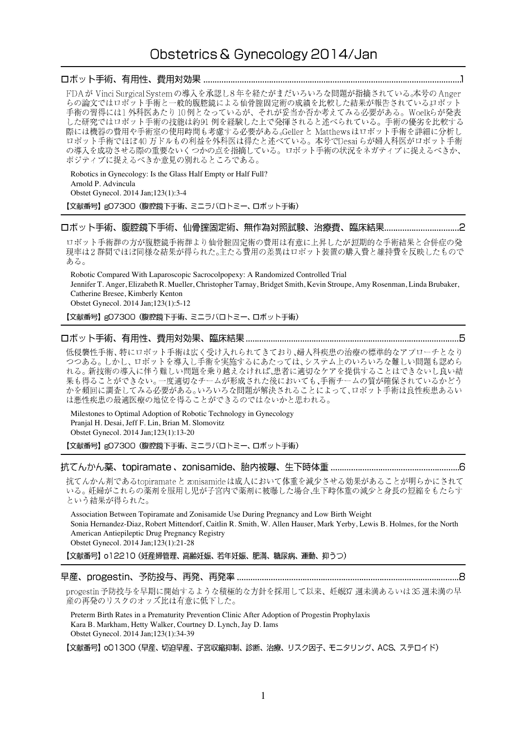# Obstetrics & Gynecology 2014/Jan

## 

FDAが Vinci Surgical System の導入を承認し8年を経たがまだいろいろな問題が指摘されている。本号の Anger らの論文ではロボット手術と一般的腹腔鏡による仙骨腟固定術の成績を比較した結果が報告されているロボット 手術の習得には1外科医あたり10例となっているが、それが妥当か否か考えてみる必要がある。Woelkらが発表 した研究ではロボット手術の技能は約91例を経験した上で発揮されると述べられている。手術の優劣を比較する 際には機器の費用や手術室の使用時間も考慮する必要がある。Geller と Matthewsはロボット手術を詳細に分析し ロボット手術でほぼ40万ドルもの利益を外科医は得たと述べている。本号でDesaiらが婦人科医がロボット手術 の導入を成功させる際の重要ないくつかの点を指摘している。ロボット手術の状況をネガティブに捉えるべきか、 ポジティブに捉えるべきか意見の別れるところである。

Robotics in Gynecology: Is the Glass Half Empty or Half Full? Arnold P. Advincula Obstet Gynecol. 2014 Jan;123(1):3-4 【文献番号】gO7300 (腹腔鏡下手術、ミニラバロトミー、ロボット手術)

ロボット手術群の方が腹腔鏡手術群より仙骨腟固定術の費用は有意に上昇したが短期的な手術結果と合併症の発 現率は2群間でほぼ同様な結果が得られた。主たる費用の差異はロボット装置の購入費と維持費を反映したもので ある。

Robotic Compared With Laparoscopic Sacrocolpopexy: A Randomized Controlled Trial Jennifer T. Anger, Elizabeth R. Mueller, Christopher Tarnay, Bridget Smith, Kevin Stroupe, Amy Rosenman, Linda Brubaker, Catherine Bresee, Kimberly Kenton Obstet Gynecol. 2014 Jan;123(1):5-12

【文献番号】gO7300 (腹腔鏡下手術、ミニラパロトミー、ロボット手術)

### 

低侵襲性手術、特にロボット手術は広く受け入れられてきており、婦人科疾患の治療の標準的なアプローチとなり つつある。しかし、ロボットを導入し手術を実施するにあたっては、システム上のいろいろな難しい問題も認めら れる。新技術の導入に伴う難しい問題を乗り越えなければ、患者に適切なケアを提供することはできないし良い結 果も得ることができない。一度適切なチームが形成された後においても、手術チームの質が確保されているかどう かを頻回に調査してみる必要がある。いろいろな問題が解決されることによって、ロボット手術は良性疾患あるい は悪性疾患の最適医療の地位を得ることができるのではないかと思われる。

Milestones to Optimal Adoption of Robotic Technology in Gynecology Pranjal H. Desai, Jeff F. Lin, Brian M. Slomovitz Obstet Gynecol. 2014 Jan;123(1):13-20

【文献番号】gO7300 (腹腔鏡下手術、ミニラパロトミー、ロボット手術)

## 

抗てんかん剤であるtopiramateと zonisamideは成人において体重を減少させる効果があることが明らかにされて いる。妊婦がこれらの薬剤を服用し児が子宮内で薬剤に被曝した場合、生下時体重の減少と身長の短縮をもたらす という結果が得られた。

Association Between Topiramate and Zonisamide Use During Pregnancy and Low Birth Weight Sonia Hernandez-Diaz, Robert Mittendorf, Caitlin R. Smith, W. Allen Hauser, Mark Yerby, Lewis B. Holmes, for the North American Antiepileptic Drug Pregnancy Registry Obstet Gynecol. 2014 Jan;123(1):21-28

【文献番号】o12210 (妊産婦管理、高齢妊娠、若年妊娠、肥満、糖尿病、運動、抑うつ)

#### 

progestin 予防投与を早期に開始するような積極的な方針を採用して以来、妊娠37 週未満あるいは35 週未満の早 産の再発のリスクのオッズ比は有意に低下した。

Preterm Birth Rates in a Prematurity Prevention Clinic After Adoption of Progestin Prophylaxis Kara B. Markham, Hetty Walker, Courtney D. Lynch, Jay D. Iams Obstet Gynecol. 2014 Jan;123(1):34-39

【文献番号】 o01300 (早産、切迫早産、子宮収縮抑制、診断、治療、リスク因子、モニタリング、ACS、ステロイド)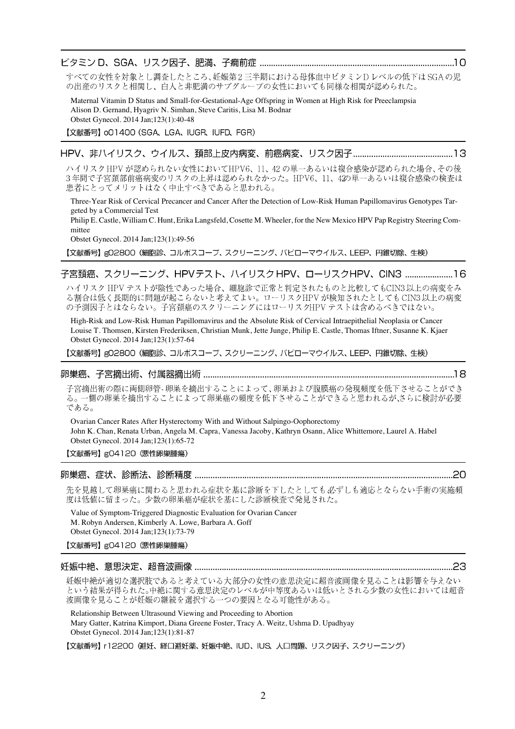## 

すべての女性を対象とし調査したところ、妊娠第2三半期における母体血中ビタミンDレベルの低下は SGAの児 の出産のリスクと相関し、白人と非肥満のサブグループの女性においても同様な相関が認められた。

Maternal Vitamin D Status and Small-for-Gestational-Age Offspring in Women at High Risk for Preeclampsia Alison D. Gernand, Hyagriv N. Simhan, Steve Caritis, Lisa M. Bodnar Obstet Gynecol. 2014 Jan;123(1):40-48

【文献番号】 oO1400 (SGA、LGA、IUGR、IUFD、FGR)

# 

ハイリスク HPV が認められない女性においてHPV6、11、42の単一あるいは複合感染が認められた場合、その後 3年間で子宮頚部前癌病変のリスクの上昇は認められなかった。HPV6、11、42の単一あるいは複合感染の検査は 患者にとってメリットはなく中止すべきであると思われる。

Three-Year Risk of Cervical Precancer and Cancer After the Detection of Low-Risk Human Papillomavirus Genotypes Targeted by a Commercial Test

Philip E. Castle, William C. Hunt, Erika Langsfeld, Cosette M. Wheeler, for the New Mexico HPV Pap Registry Steering Committee

Obstet Gynecol. 2014 Jan;123(1):49-56

【文献番号】g02800 (細胞診、コルポスコープ、スクリーニング、パピローマウイルス、LEEP、円錐切除、生検)

# 子宮頚癌、スクリーニング、HPVテスト、ハイリスク HPV、ローリスクHPV、CIN3 .......................16

ハイリスク HPV テストが陰性であった場合、細胞診で正常と判定されたものと比較してもCIN3以上の病変をみ る割合は低く長期的に問題が起こらないと考えてよい。ローリスクHPVが検知されたとしてもCIN3以上の病変 の予測因子とはならない。子宮頚癌のスクリーニングにはローリスクHPVテストは含めるべきではない。

High-Risk and Low-Risk Human Papillomavirus and the Absolute Risk of Cervical Intraepithelial Neoplasia or Cancer Louise T. Thomsen, Kirsten Frederiksen, Christian Munk, Jette Junge, Philip E. Castle, Thomas Iftner, Susanne K. Kjaer Obstet Gynecol. 2014 Jan;123(1):57-64

【文献番号】g02800 (細胞診、コルポスコープ、スクリーニング、パピローマウイルス、LEEP、円錐切除、生検)

#### 

子宮摘出術の際に両側卵管- 卵巣を摘出することによって、卵巣および腹膜癌の発現頻度を低下させることができ る。一側の卵巣を摘出することによって卵巣癌の頻度を低下させることができると思われるが、さらに検討が必要 である。

Ovarian Cancer Rates After Hysterectomy With and Without Salpingo-Oophorectomy John K. Chan, Renata Urban, Angela M. Capra, Vanessa Jacoby, Kathryn Osann, Alice Whittemore, Laurel A. Habel Obstet Gynecol. 2014 Jan;123(1):65-72

【文献番号】gO4120 (悪性卵巣腫瘍)

#### 

先を見越して卵巣癌に関わると思われる症状を基に診断を下したとしても必ずしも適応とならない手術の実施頻 度は低値に留まった。少数の卵巣癌が症状を基にした診断検査で発見された。

Value of Symptom-Triggered Diagnostic Evaluation for Ovarian Cancer M. Robyn Andersen, Kimberly A. Lowe, Barbara A. Goff Obstet Gynecol. 2014 Jan;123(1):73-79

【文献番号】g04120 (悪性卵巣腫瘍)

#### 

妊娠中絶が適切な選択肢であると考えている大部分の女性の意思決定に超音波画像を見ることは影響を与えない という結果が得られた。中絶に関する意思決定のレベルが中等度あるいは低いとされる少数の女性においては超音 波画像を見ることが妊娠の継続を選択する一つの要因となる可能性がある。

Relationship Between Ultrasound Viewing and Proceeding to Abortion Mary Gatter, Katrina Kimport, Diana Greene Foster, Tracy A. Weitz, Ushma D. Upadhyay Obstet Gynecol. 2014 Jan;123(1):81-87

【文献番号】 r12200 (避妊、経口避妊薬、妊娠中絶、IUD、IUS、人口問題、リスク因子、スクリーニング)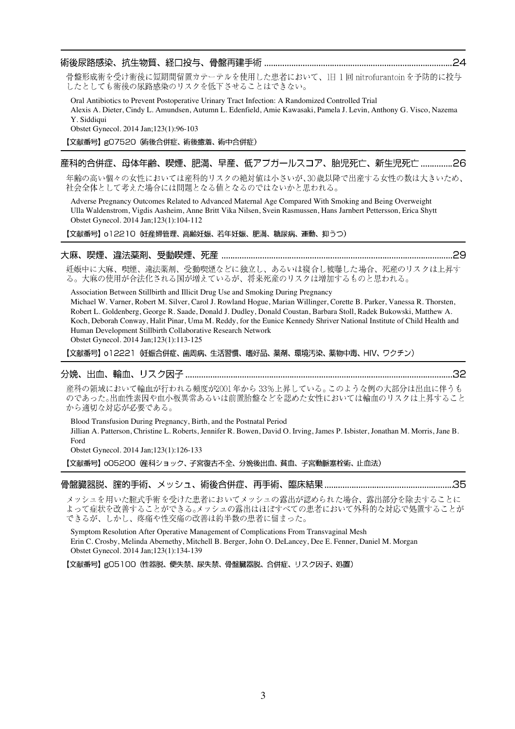#### 

骨盤形成術を受け術後に短期間留置カテーテルを使用した患者において、1日1回 nitrofurantoinを予防的に投与 したとしても術後の尿路感染のリスクを低下させることはできない。

Oral Antibiotics to Prevent Postoperative Urinary Tract Infection: A Randomized Controlled Trial Alexis A. Dieter, Cindy L. Amundsen, Autumn L. Edenfield, Amie Kawasaki, Pamela J. Levin, Anthony G. Visco, Nazema Y. Siddiqui Obstet Gynecol. 2014 Jan;123(1):96-103

【文献番号】gO7520 (術後合併症、術後癒着、術中合併症)

# 産科的合併症、母体年齢、喫煙、肥満、早産、低アプガールスコア、胎児死亡、新生児死亡 ..............26

年齢の高い個々の女性においては産科的リスクの絶対値は小さいが、30歳以降で出産する女性の数は大きいため、 社会全体として考えた場合には問題となる値となるのではないかと思われる。

Adverse Pregnancy Outcomes Related to Advanced Maternal Age Compared With Smoking and Being Overweight Ulla Waldenstrom, Vigdis Aasheim, Anne Britt Vika Nilsen, Svein Rasmussen, Hans Jarnbert Pettersson, Erica Shytt Obstet Gynecol. 2014 Jan;123(1):104-112

【文献番号】 o12210 妊産婦管理、高齢妊娠、若年妊娠、肥満、糖尿病、運動、抑うつ)

#### 

妊娠中に大麻、喫煙、違法薬剤、受動喫煙などに独立し、あるいは複合し被曝した場合、死産のリスクは上昇す る。大麻の使用が合法化される国が増えているが、将来死産のリスクは増加するものと思われる。

Association Between Stillbirth and Illicit Drug Use and Smoking During Pregnancy Michael W. Varner, Robert M. Silver, Carol J. Rowland Hogue, Marian Willinger, Corette B. Parker, Vanessa R. Thorsten, Robert L. Goldenberg, George R. Saade, Donald J. Dudley, Donald Coustan, Barbara Stoll, Radek Bukowski, Matthew A. Koch, Deborah Conway, Halit Pinar, Uma M. Reddy, for the Eunice Kennedy Shriver National Institute of Child Health and Human Development Stillbirth Collaborative Research Network

Obstet Gynecol. 2014 Jan;123(1):113-125

【文献番号】 o12221 妊娠合併症、歯周病、生活習慣、嗜好品、薬剤、環境汚染、薬物中毒、HIV、ワクチン)

#### 

産科の領域において輸血が行われる頻度が2001年から33%上昇している。このような例の大部分は出血に伴うも のであった。出血性素因や血小板異常あるいは前置胎盤などを認めた女性においては輸血のリスクは上昇すること から適切な対応が必要である。

Blood Transfusion During Pregnancy, Birth, and the Postnatal Period Jillian A. Patterson, Christine L. Roberts, Jennifer R. Bowen, David O. Irving, James P. Isbister, Jonathan M. Morris, Jane B. Ford

Obstet Gynecol. 2014 Jan;123(1):126-133

メッシュを用いた腟式手術を受けた患者においてメッシュの露出が認められた場合、露出部分を除去することに よって症状を改善することができる。メッシュの露出はほぼすべての患者において外科的な対応で処置することが できるが、しかし、疼痛や性交痛の改善は約半数の患者に留まった。

Symptom Resolution After Operative Management of Complications From Transvaginal Mesh Erin C. Crosby, Melinda Abernethy, Mitchell B. Berger, John O. DeLancey, Dee E. Fenner, Daniel M. Morgan Obstet Gynecol. 2014 Jan;123(1):134-139

【文献番号】g05100 (性器脱、便失禁、尿失禁、骨盤臓器脱、合併症、リスク因子、処置)